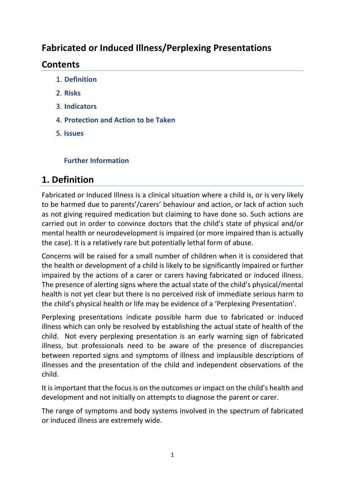### **Fabricated or Induced Illness/Perplexing Presentations**

### **Contents**

- 1. **Definition**
- 2. **Risks**
- 3. **Indicators**
- 4. **Protection and Action to be Taken**
- 5. **Issues**

### **Further Information**

# **1. Definition**

Fabricated or Induced Illness is a clinical situation where a child is, or is very likely to be harmed due to parents'/carers' behaviour and action, or lack of action such as not giving required medication but claiming to have done so. Such actions are carried out in order to convince doctors that the child's state of physical and/or mental health or neurodevelopment is impaired (or more impaired than is actually the case). It is a relatively rare but potentially lethal form of abuse.

Concerns will be raised for a small number of children when it is considered that the health or development of a child is likely to be significantly impaired or further impaired by the actions of a carer or carers having fabricated or induced illness. The presence of alerting signs where the actual state of the child's physical/mental health is not yet clear but there is no perceived risk of immediate serious harm to the child's physical health or life may be evidence of a 'Perplexing Presentation'.

Perplexing presentations indicate possible harm due to fabricated or induced illness which can only be resolved by establishing the actual state of health of the child. Not every perplexing presentation is an early warning sign of fabricated illness, but professionals need to be aware of the presence of discrepancies between reported signs and symptoms of illness and implausible descriptions of illnesses and the presentation of the child and independent observations of the child.

It is important that the focus is on the outcomes or impact on the child's health and development and not initially on attempts to diagnose the parent or carer.

The range of symptoms and body systems involved in the spectrum of fabricated or induced illness are extremely wide.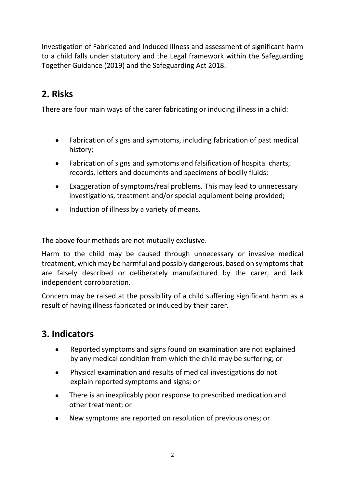Investigation of Fabricated and Induced Illness and assessment of significant harm to a child falls under statutory and the Legal framework within the Safeguarding Together Guidance (2019) and the Safeguarding Act 2018.

# **2. Risks**

There are four main ways of the carer fabricating or inducing illness in a child:

- Fabrication of signs and symptoms, including fabrication of past medical history;
- Fabrication of signs and symptoms and falsification of hospital charts, records, letters and documents and specimens of bodily fluids;
- Exaggeration of symptoms/real problems. This may lead to unnecessary investigations, treatment and/or special equipment being provided;
- Induction of illness by a variety of means.

The above four methods are not mutually exclusive.

Harm to the child may be caused through unnecessary or invasive medical treatment, which may be harmful and possibly dangerous, based on symptoms that are falsely described or deliberately manufactured by the carer, and lack independent corroboration.

Concern may be raised at the possibility of a child suffering significant harm as a result of having illness fabricated or induced by their carer.

# **3. Indicators**

- Reported symptoms and signs found on examination are not explained by any medical condition from which the child may be suffering; or
- Physical examination and results of medical investigations do not explain reported symptoms and signs; or
- There is an inexplicably poor response to prescribed medication and other treatment; or
- New symptoms are reported on resolution of previous ones; or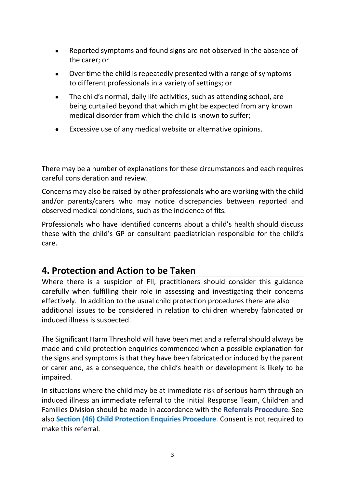- Reported symptoms and found signs are not observed in the absence of the carer; or
- Over time the child is repeatedly presented with a range of symptoms to different professionals in a variety of settings; or
- The child's normal, daily life activities, such as attending school, are being curtailed beyond that which might be expected from any known medical disorder from which the child is known to suffer;
- Excessive use of any medical website or alternative opinions.

There may be a number of explanations for these circumstances and each requires careful consideration and review.

Concerns may also be raised by other professionals who are working with the child and/or parents/carers who may notice discrepancies between reported and observed medical conditions, such as the incidence of fits.

Professionals who have identified concerns about a child's health should discuss these with the child's GP or consultant paediatrician responsible for the child's care.

### **4. Protection and Action to be Taken**

Where there is a suspicion of FII, practitioners should consider this guidance carefully when fulfilling their role in assessing and investigating their concerns effectively. In addition to the usual child protection procedures there are also additional issues to be considered in relation to children whereby fabricated or induced illness is suspected.

The Significant Harm Threshold will have been met and a referral should always be made and child protection enquiries commenced when a possible explanation for the signs and symptoms is that they have been fabricated or induced by the parent or carer and, as a consequence, the child's health or development is likely to be impaired.

In situations where the child may be at immediate risk of serious harm through an induced illness an immediate referral to the Initial Response Team, Children and Families Division should be made in accordance with the **Referrals Procedure**. See also **Section (46) Child Protection Enquiries Procedure**. Consent is not required to make this referral.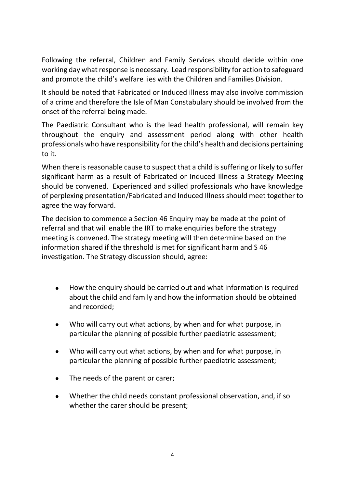Following the referral, Children and Family Services should decide within one working day what response is necessary. Lead responsibility for action to safeguard and promote the child's welfare lies with the Children and Families Division.

It should be noted that Fabricated or Induced illness may also involve commission of a crime and therefore the Isle of Man Constabulary should be involved from the onset of the referral being made.

The Paediatric Consultant who is the lead health professional, will remain key throughout the enquiry and assessment period along with other health professionals who have responsibility for the child's health and decisions pertaining to it.

When there is reasonable cause to suspect that a child is suffering or likely to suffer significant harm as a result of Fabricated or Induced Illness a Strategy Meeting should be convened. Experienced and skilled professionals who have knowledge of perplexing presentation/Fabricated and Induced Illness should meet together to agree the way forward.

The decision to commence a Section 46 Enquiry may be made at the point of referral and that will enable the IRT to make enquiries before the strategy meeting is convened. The strategy meeting will then determine based on the information shared if the threshold is met for significant harm and S 46 investigation. The Strategy discussion should, agree:

- How the enquiry should be carried out and what information is required about the child and family and how the information should be obtained and recorded;
- Who will carry out what actions, by when and for what purpose, in particular the planning of possible further paediatric assessment;
- Who will carry out what actions, by when and for what purpose, in particular the planning of possible further paediatric assessment;
- The needs of the parent or carer;
- Whether the child needs constant professional observation, and, if so whether the carer should be present;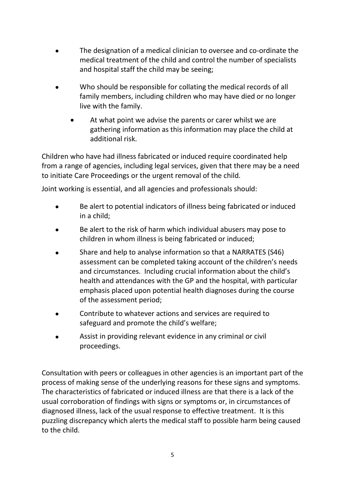- The designation of a medical clinician to oversee and co-ordinate the medical treatment of the child and control the number of specialists and hospital staff the child may be seeing;
- Who should be responsible for collating the medical records of all family members, including children who may have died or no longer live with the family.
	- At what point we advise the parents or carer whilst we are gathering information as this information may place the child at additional risk.

Children who have had illness fabricated or induced require coordinated help from a range of agencies, including legal services, given that there may be a need to initiate Care Proceedings or the urgent removal of the child.

Joint working is essential, and all agencies and professionals should:

- Be alert to potential indicators of illness being fabricated or induced in a child;
- Be alert to the risk of harm which individual abusers may pose to children in whom illness is being fabricated or induced;
- Share and help to analyse information so that a NARRATES (S46) assessment can be completed taking account of the children's needs and circumstances. Including crucial information about the child's health and attendances with the GP and the hospital, with particular emphasis placed upon potential health diagnoses during the course of the assessment period;
- Contribute to whatever actions and services are required to safeguard and promote the child's welfare;
- Assist in providing relevant evidence in any criminal or civil proceedings.

Consultation with peers or colleagues in other agencies is an important part of the process of making sense of the underlying reasons for these signs and symptoms. The characteristics of fabricated or induced illness are that there is a lack of the usual corroboration of findings with signs or symptoms or, in circumstances of diagnosed illness, lack of the usual response to effective treatment. It is this puzzling discrepancy which alerts the medical staff to possible harm being caused to the child.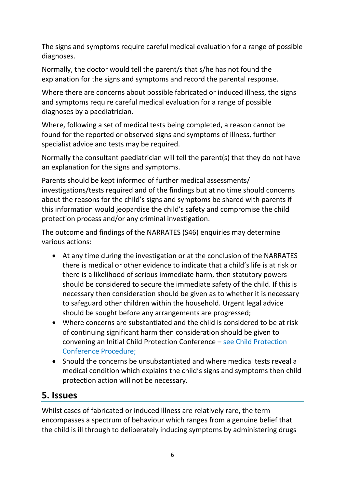The signs and symptoms require careful medical evaluation for a range of possible diagnoses.

Normally, the doctor would tell the parent/s that s/he has not found the explanation for the signs and symptoms and record the parental response.

Where there are concerns about possible fabricated or induced illness, the signs and symptoms require careful medical evaluation for a range of possible diagnoses by a paediatrician.

Where, following a set of medical tests being completed, a reason cannot be found for the reported or observed signs and symptoms of illness, further specialist advice and tests may be required.

Normally the consultant paediatrician will tell the parent(s) that they do not have an explanation for the signs and symptoms.

Parents should be kept informed of further medical assessments/ investigations/tests required and of the findings but at no time should concerns about the reasons for the child's signs and symptoms be shared with parents if this information would jeopardise the child's safety and compromise the child protection process and/or any criminal investigation.

The outcome and findings of the NARRATES (S46) enquiries may determine various actions:

- At any time during the investigation or at the conclusion of the NARRATES there is medical or other evidence to indicate that a child's life is at risk or there is a likelihood of serious immediate harm, then statutory powers should be considered to secure the immediate safety of the child. If this is necessary then consideration should be given as to whether it is necessary to safeguard other children within the household. Urgent legal advice should be sought before any arrangements are progressed;
- Where concerns are substantiated and the child is considered to be at risk of continuing significant harm then consideration should be given to convening an Initial Child Protection Conference – see Child Protection Conference Procedure;
- Should the concerns be unsubstantiated and where medical tests reveal a medical condition which explains the child's signs and symptoms then child protection action will not be necessary.

# **5. Issues**

Whilst cases of fabricated or induced illness are relatively rare, the term encompasses a spectrum of behaviour which ranges from a genuine belief that the child is ill through to deliberately inducing symptoms by administering drugs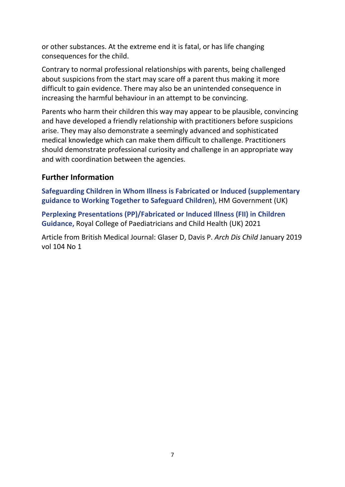or other substances. At the extreme end it is fatal, or has life changing consequences for the child.

Contrary to normal professional relationships with parents, being challenged about suspicions from the start may scare off a parent thus making it more difficult to gain evidence. There may also be an unintended consequence in increasing the harmful behaviour in an attempt to be convincing.

Parents who harm their children this way may appear to be plausible, convincing and have developed a friendly relationship with practitioners before suspicions arise. They may also demonstrate a seemingly advanced and sophisticated medical knowledge which can make them difficult to challenge. Practitioners should demonstrate professional curiosity and challenge in an appropriate way and with coordination between the agencies.

### **Further Information**

**Safeguarding Children in Whom Illness is Fabricated or Induced (supplementary guidance to Working Together to Safeguard Children)**, HM Government (UK)

**Perplexing Presentations (PP)/Fabricated or Induced Illness (FII) in Children Guidance,** Royal College of Paediatricians and Child Health (UK) 2021

Article from British Medical Journal: Glaser D, Davis P. *Arch Dis Child* January 2019 vol 104 No 1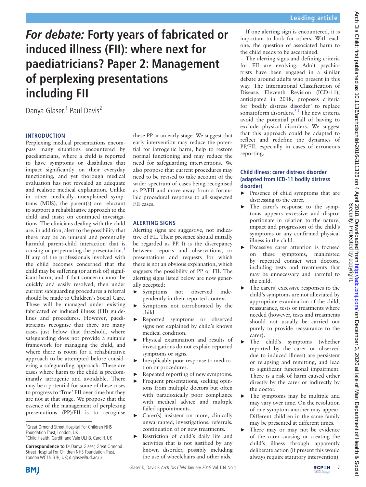# **For debate: Forty years of fabricated or induced illness (FII): where next for paediatricians? Paper 2: Management of perplexing presentations including FII**

Danya Glaser,<sup>1</sup> Paul Davis<sup>2</sup>

#### **Introduction**

Perplexing medical presentations encompass many situations encountered by paediatricians, where a child is reported to have symptoms or disabilities that impact significantly on their everyday functioning, and yet thorough medical evaluation has not revealed an adequate and realistic medical explanation. Unlike in other medically unexplained symptoms (MUS), the parent(s) are reluctant to support a rehabilitative approach to the child and insist on continued investigations. The clinicians dealing with the child are, in addition, alert to the possibility that there may be an unusual and potentially harmful parent-child interaction that is causing or perpetuating the presentation.<sup>[1](#page-11-0)</sup> If any of the professionals involved with the child becomes concerned that the child may be suffering (or at risk of) significant harm, and if that concern cannot be quickly and easily resolved, then under current safeguarding procedures a referral should be made to Children's Social Care. These will be managed under existing fabricated or induced illness (FII) guidelines and procedures. However, paediatricians recognise that there are many cases just below that threshold, where safeguarding does not provide a suitable framework for managing the child, and where there is room for a rehabilitative approach to be attempted before considering a safeguarding approach. These are cases where harm to the child is predominantly iatrogenic and avoidable. There may be a potential for some of these cases to progress to 'True' FII over time but they are not at that stage. We propose that the essence of the management of perplexing presentations (PP)/FII is to recognise

<sup>1</sup> Great Ormond Street Hospital For Children NHS Foundation Trust, London, UK

**Correspondence to** Dr Danya Glaser, Great Ormond Street Hospital For Children NHS Foundation Trust, London WC1N 3JH, UK; d.glaser@ucl.ac.uk

these PP at an early stage. We suggest that early intervention may reduce the potential for iatrogenic harm, help to restore normal functioning and may reduce the need for safeguarding interventions. We also propose that current procedures may need to be revised to take account of the wider spectrum of cases being recognised as PP/FII and move away from a formulaic procedural response to all suspected FII cases.

#### **Alerting signs**

Alerting signs are suggestive, not indicative of FII. Their presence should initially be regarded as PP. It is the discrepancy between reports and observations, or presentations and requests for which there is not an obvious explanation, which suggests the possibility of PP or FII. The alerting signs listed below are now generally accepted:

- ► Symptoms not observed independently in their reported context.
- ► Symptoms not corroborated by the child.
- ► Reported symptoms or observed signs not explained by child's known medical condition.
- ► Physical examination and results of investigations do not explain reported symptoms or signs.
- Inexplicably poor response to medication or procedures.
- ► Repeated reporting of new symptoms.
- Frequent presentations, seeking opinions from multiple doctors but often with paradoxically poor compliance with medical advice and multiple failed appointments.
- ► Carer(s) insistent on more, clinically unwarranted, investigations, referrals, continuation of or new treatments.
- ► Restriction of child's daily life and activities that is not justified by any known disorder, possibly including the use of wheelchairs and other aids.

#### If one alerting sign is encountered, it is important to look for others. With each one, the question of associated harm to the child needs to be ascertained.

The alerting signs and defining criteria for FII are evolving. Adult psychiatrists have been engaged in a similar debate around adults who present in this way. The International Classification of Disease, Eleventh Revision (ICD-11), anticipated in 2018, proposes criteria for 'bodily distress disorder' to replace somatoform disorders.<sup>23</sup> The new criteria avoid the potential pitfall of having to exclude physical disorders. We suggest that this approach could be adapted to reflect and redefine the dynamics of PP/FII, especially in cases of erroneous reporting.

#### **Child illness: carer distress disorder (adapted from ICD-11 bodily distress disorder)**

- Presence of child symptoms that are distressing to the carer.
- ► The carer's response to the symptoms appears excessive and disproportionate in relation to the nature, impact and progression of the child's symptoms or any confirmed physical illness in the child.
- ► Excessive carer attention is focused on these symptoms, manifested by repeated contact with doctors, including tests and treatments that may be unnecessary and harmful to the child.
- The carers' excessive responses to the child's symptoms are not alleviated by appropriate examination of the child, reassurance, tests or treatments where needed (however, tests and treatments should not usually be carried out purely to provide reassurance to the carer).
- The child's symptoms (whether reported by the carer or observed due to induced illness) are persistent or relapsing and remitting, and lead to significant functional impairment. There is a risk of harm caused either directly by the carer or indirectly by the doctor.
- ► The symptoms may be multiple and may vary over time. On the resolution of one symptom another may appear. Different children in the same family may be presented at different times.
- ► There may or may not be evidence of the carer causing or creating the child's illness through apparently deliberate action (if present this would always require statutory intervention).



<sup>&</sup>lt;sup>2</sup> Child Health, Cardiff and Vale ULHB, Cardiff, UK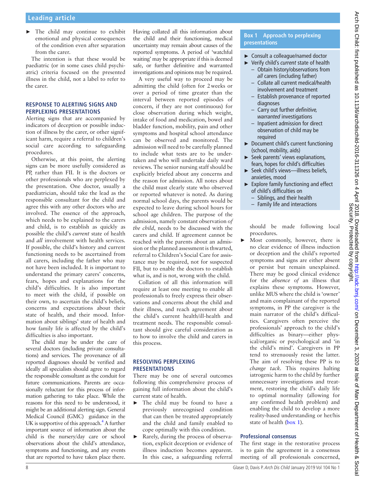► The child may continue to exhibit emotional and physical consequences of the condition even after separation from the carer.

The intention is that these would be paediatric (or in some cases child psychiatric) criteria focused on the presented illness in the child, not a label to refer to the carer.

#### **Response to alerting signs and perplexing presentations**

Alerting signs that are accompanied by indicators of deception or possible induction of illness by the carer, or other significant harm, require a referral to children's social care according to safeguarding procedures.

Otherwise, at this point, the alerting signs can be more usefully considered as PP, rather than FII. It is the doctors or other professionals who are perplexed by the presentation. One doctor, usually a paediatrician, should take the lead as the responsible consultant for the child and agree this with any other doctors who are involved. The essence of the approach, which needs to be explained to the carers and child, is to establish as quickly as possible the child's *current* state of health and *all* involvement with health services. If possible, the child's history and current functioning needs to be ascertained from all carers, including the father who may not have been included. It is important to understand the primary carers' concerns, fears, hopes and explanations for the child's difficulties. It is also important to meet with the child, if possible on their own, to ascertain the child's beliefs, concerns and expectations about their state of health, and their mood. Information about siblings' state of health and how family life is affected by the child's difficulties is also important.

The child may be under the care of several doctors (including private consultations) and services. The provenance of all reported diagnoses should be verified and ideally all specialists should agree to regard the responsible consultant as the conduit for future communications. Parents are occasionally reluctant for this process of information gathering to take place. While the reasons for this need to be understood, it might be an additional alerting sign. General Medical Council (GMC) guidance in the UK is supportive of this approach.<sup>4</sup> A further important source of information about the child is the nursery/day care or school observations about the child's attendance, symptoms and functioning, and any events that are reported to have taken place there.

Having collated all this information about the child and their functioning, medical uncertainty may remain about causes of the reported symptoms. A period of 'watchful waiting' may be appropriate if this is deemed safe, or further definitive and warranted investigations and opinions may be required.

A very useful way to proceed may be admitting the child (often for 2weeks or over a period of time greater than the interval between reported episodes of concern, if they are not continuous) for close observation during which weight, intake of food and medication, bowel and bladder function, mobility, pain and other symptoms and hospital school attendance can be observed and monitored. The admission will need to be carefully planned to include what tests are to be undertaken and who will undertake daily ward reviews. The senior nursing staff should be explicitly briefed about any concerns and the reason for admission. All notes about the child must clearly state who observed or reported whatever is noted. As during normal school days, the parents would be expected to leave during school hours for school age children. The purpose of the admission, namely constant observation *of the child*, needs to be discussed with the carers and child. If agreement cannot be reached with the parents about an admission or the planned assessment is thwarted, referral to Children's Social Care for assistance may be required, not for suspected FII, but to enable the doctors to establish what is, and is not, wrong with the child.

Collation of all this information will require at least one meeting to enable all professionals to freely express their observations and concerns about the child and their illness, and reach agreement about the child's current health/ill-health and treatment needs. The responsible consultant should give careful consideration as to how to involve the child and carers in this process.

#### **Resolving perplexing presentations**

There may be one of several outcomes following this comprehensive process of gaining full information about the child's current state of health.

- ► The child may be found to have a previously unrecognised condition that can then be treated appropriately and the child and family enabled to cope optimally with this condition.
- Rarely, during the process of observation, explicit deception or evidence of illness induction becomes apparent. In this case, a safeguarding referral

#### **Box 1 Approach to perplexing presentations**

- ► Consult a colleague/named doctor
- ► Verify child's *current* state of health – Obtain history/observations from
	- *all* carers (including father) – Collate all current medical/health involvement and treatment
	- Establish provenance of reported diagnoses
	- Carry out further *definitive, warranted* investigations
	- Inpatient admission for direct observation of child may be required
- ► Document child's current functioning (school, mobility, aids)
- ► Seek parents' views explanations, fears, hopes for child's difficulties ► Seek child's views—illness beliefs,
- anxieties, mood
- ► Explore family functioning and effect of child's difficulties on
	- Siblings, and their health
	- Family life and interactions

should be made following local procedures.

Most commonly, however, there is no clear evidence of illness induction or deception and the child's reported symptoms and signs are either absent or persist but remain unexplained. There may be good clinical evidence for the *absence of* an illness that explains these symptoms. However, unlike MUS where the child is 'owner' and main complainant of the reported symptoms, in PP the caregiver is the main narrator of the child's difficulties. Caregivers often perceive the professionals' approach to the child's difficulties as binary—either physical/organic or psychological and 'in the child's mind'. Caregivers in PP tend to strenuously resist the latter. The aim of resolving these PP is to *change tack*. This requires halting iatrogenic harm to the child by further unnecessary investigations and treatment, restoring the child's daily life to optimal normality (allowing for any confirmed health problem) and enabling the child to develop a more reality-based understanding or her/his state of health (box 1).

#### **Professional consensus**

The first stage in the restorative process is to gain the agreement in a consensus meeting of all professionals concerned,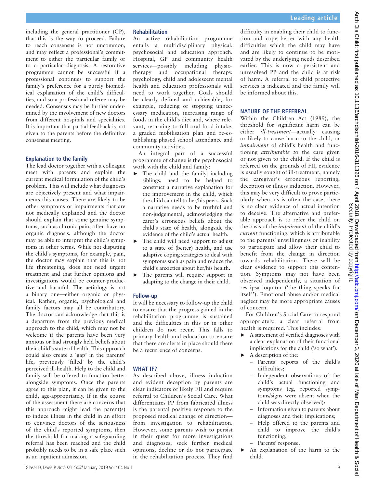including the general practitioner (GP), that this is the way to proceed. Failure to reach consensus is not uncommon, and may reflect a professional's commitment to either the particular family or to a particular diagnosis. A restorative programme cannot be successful if a professional continues to support the family's preference for a purely biomedical explanation of the child's difficulties, and so a professional referee may be needed. Consensus may be further undermined by the involvement of new doctors from different hospitals and specialities. It is important that partial feedback is not given to the parents before the definitive consensus meeting.

#### **Explanation to the family**

The lead doctor together with a colleague meet with parents and explain the current medical formulation of the child's problem. This will include what diagnoses are objectively present and what impairments this causes. There are likely to be other symptoms or impairments that are not medically explained and the doctor should explain that some genuine symptoms, such as chronic pain, often have no organic diagnosis, although the doctor may be able to interpret the child's symptoms in other terms. While not disputing the child's symptoms, for example, pain, the doctor may explain that this is not life threatening, does not need urgent treatment and that further opinions and investigations would be counter-productive and harmful. The aetiology is not a binary one—either organic or physical. Rather, organic, psychological and family factors may all be contributory. The doctor can acknowledge that this is a departure from the previous medical approach to the child, which may not be welcome if the parents have been very anxious or had strongly held beliefs about their child's state of health. This approach could also create a 'gap' in the parents' life, previously 'filled' by the child's perceived ill-health. Help to the child and family will be offered to function better alongside symptoms. Once the parents agree to this plan, it can be given to the child, age-appropriately. If in the course of the assessment there are concerns that this approach might lead the parent(s) to induce illness in the child in an effort to convince doctors of the seriousness of the child's reported symptoms, then the threshold for making a safeguarding referral has been reached and the child probably needs to be in a safe place such as an inpatient admission.

#### **Rehabilitation**

An active rehabilitation programme entails a multidisciplinary physical, psychosocial and education approach. Hospital, GP and community health services—possibly including physiotherapy and occupational therapy, psychology, child and adolescent mental health and education professionals will need to work together. Goals should be clearly defined and achievable, for example, reducing or stopping unnecessary medication, increasing range of foods in the child's diet and, where relevant, returning to full oral food intake, a graded mobilisation plan and re-establishing phased school attendance and community activities.

An integral part of a successful programme of change is the psychosocial work with the child and family:

- ► The child and the family, including siblings, need to be helped to construct a narrative explanation for the improvement in the child, which the child can tell to her/his peers. Such a narrative needs to be truthful and non-judgemental, acknowledging the carer's erroneous beliefs about the child's state of health, alongside the evidence of the child's actual health.
- ► The child will need support to adjust to a state of (better) health, and use adaptive coping strategies to deal with symptoms such as pain and reduce the child's anxieties about her/his health.
- ► The parents will require support in adapting to the change in their child.

#### **Follow-up**

It will be necessary to follow-up the child to ensure that the progress gained in the rehabilitation programme is sustained and the difficulties in this or in other children do not recur. This falls to primary health and education to ensure that there are alerts in place should there be a recurrence of concerns.

#### **What if?**

As described above, illness induction and evident deception by parents are clear indicators of likely FII and require referral to Children's Social Care. What differentiates PP from fabricated illness is the parental positive response to the proposed medical change of direction from investigation to rehabilitation. However, some parents wish to persist in their quest for more investigations and diagnoses, seek further medical opinions, decline or do not participate in the rehabilitation process. They find

difficulty in enabling their child to function and cope better with any health difficulties which the child may have and are likely to continue to be motivated by the underlying needs described earlier. This is now a persistent and unresolved PP and the child is at risk of harm. A referral to child protective services is indicated and the family will be informed about this.

#### **Nature of the referral**

Within the Children Act (1989), the threshold for significant harm can be either *ill-treatment—*actually causing or likely to cause harm to the child, or *impairment* of child's health and functioning *attributable to* the care given or not given to the child. If the child is referred on the grounds of FII, evidence is usually sought of ill-treatment, namely the caregiver's erroneous reporting, deception or illness induction. However, this may be very difficult to prove particularly when, as is often the case, there is no clear evidence of actual intention to deceive. The alternative and preferable approach is to refer the child on the basis of the *impairment* of the child's *current* functioning, which is attributable to the parents' unwillingness or inability to participate and allow their child to benefit from the change in direction towards rehabilitation. There will be clear evidence to support this contention. Symptoms may not have been observed independently, a situation of res ipsa loquitur ('the thing speaks for itself '). Emotional abuse and/or medical neglect may be more appropriate causes of concern.

For Children's Social Care to respond appropriately, a clear referral from health is required. This includes:

- ► A statement of verified diagnoses with a clear explanation of their functional implications for the child ('so what').
- $\blacktriangleright$  A description of the:
	- Parents' reports of the child's difficulties;
	- Independent observations of the child's actual functioning and symptoms (eg, reported symptoms/signs were absent when the child was directly observed);
	- Information given to parents about diagnoses and their implications;
	- Help offered to the parents and child to improve the child's functioning;
	- Parents' response.
- ► An explanation of the harm to the child.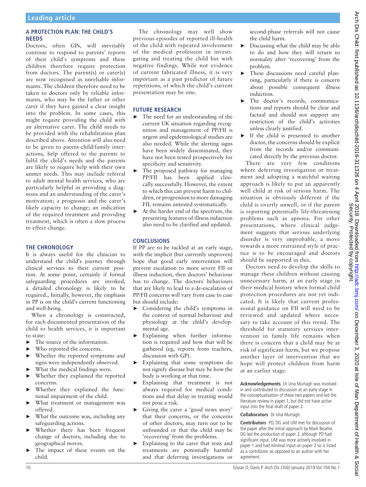#### **A protection plan: the child's needs**

Doctors, often GPs, will inevitably continue to respond to parents' reports of their child's symptoms and these children therefore require protection from doctors. The parent(s) or carer(s) are now recognised as unreliable informants. The children therefore need to be taken to doctors only by reliable informants, who may be the father or other carer if they have gained a clear insight into the problem. In some cases, this might require providing the child with an alternative carer. The child needs to be provided with the rehabilitation plan described above. Attention will also need to be given to parent-child/family interactions, help offered to the parents to fulfil the child's needs and the parents are likely to require help with their own unmet needs. This may include referral to adult mental health services, who are particularly helpful in providing a diagnosis and an understanding of the carer's motivation; a prognosis and the carer's likely capacity to change; an indication of the required treatment and providing treatment, which is often a slow process to effect change.

#### **The chronology**

It is always useful for the clinician to understand the child's journey through clinical services to their current position. At some point, certainly if formal safeguarding procedures are invoked, a detailed chronology is likely to be required., Initially, however, the emphasis in PP is on the child's current functioning and well-being.

When a chronology is constructed, for each documented presentation of the child to health services, it is important to state:

- ► The source of the information.
- Who reported the concerns.
- ► Whether the reported symptoms and signs were independently observed.
- ► What the medical findings were.
- Whether they explained the reported concerns.
- ► Whether they explained the functional impairment of the child.
- ► What treatment or management was offered.
- What the outcome was, including any safeguarding actions.
- ► Whether there has been frequent change of doctors, including due to geographical moves.
- The impact of these events on the child.

The chronology may well show previous episodes of reported ill-health of the child with repeated involvement of the medical profession in investigating and treating the child but with negative findings. While not evidence of current fabricated illness, it is very important as a past predictor of future repetitions, of which the child's current presentation may be one.

#### **Future research**

- ► The need for an understanding of the current UK situation regarding recognition and management of PP/FII is urgent and epidemiological studies are also needed. While the alerting signs have been widely disseminated, they have not been tested prospectively for specificity and sensitivity.
- ► The proposed pathway for managing PP/FII has been applied clinically successfully. However, the extent to which this can prevent harm to children, or progression to more damaging FII, remains untested systematically.
- At the harder end of the spectrum, the presenting features of illness induction also need to be clarified and updated.

#### **Conclusions**

If PP are to be tackled at an early stage, with the implicit (but currently unproven) hope that good early intervention will prevent escalation to more severe FII or illness induction, then doctors' behaviour has to change. The doctors' behaviours that are likely to lead to a de-escalation of PP/FII concerns will vary from case to case but should include:

- ► Considering the child's symptoms in the context of normal behaviour and physiology at the child's developmental age.
- ► Explaining when further information is required and how that will be gathered (eg, reports from teachers, discussion with GP).
- Explaining that some symptoms do not signify disease but may be how the body is working at that time.
- ► Explaining that treatment is not always required for medical conditions and that delay in treating would not pose a risk.
- ► Giving the carer a 'good news story' that their concerns, or the concerns of other doctors, may turn out to be unfounded or that the child may be 'recovering' from the problems.
- ► Explaining to the carer that tests and treatments are potentially harmful and that deferring investigations or

second-phase referrals will not cause the child harm.

- $\triangleright$  Discussing what the child may be able to do and how they will return to normality after 'recovering' from the problem.
- These discussions need careful planning, particularly if there is concern about possible consequent illness induction.
- ► The doctor's records, communications and reports should be clear and factual and should not support any restriction of the child's activities unless clearly justified.
- ► If the child is presented to another doctor, the concerns should be explicit from the records and/or communicated directly by the previous doctor.

There are very few conditions where deferring investigation or treatment and adopting a watchful waiting approach is likely to put an apparently well child at risk of serious harm. The situation is obviously different if the child is overtly unwell, or if the parent is reporting potentially life-threatening problems such as apnoea. For other presentations, where clinical judgement suggests that serious underlying disorder is very improbable, a move towards a more restrained style of practice is to be encouraged and doctors should be supported in this.

Doctors need to develop the skills to manage these children without causing unnecessary harm, at an early stage in their medical history when formal child protection procedures are not yet indicated. It is likely that current professional guidance on FII will need to be reviewed and updated where necessary to take account of this trend. The threshold for statutory services intervention in family life remains when there is concern that a child may be at risk of significant harm, but we propose another layer of intervention that we hope will protect children from harm at an earlier stage.

**Acknowledgements** Dr Una Murtagh was involved in and contributed to discussion at an early stage in the conceptualisation of these two papers and led the literature review in paper 1, but did not have active input into the final draft of paper 2.

#### **Collaborators** Dr Una Murtagh.

**Contributors** PD, DG and UM met for discussion of the paper after the initial approach by Mark Beattie. DG led the production of paper 2, although PD had significant input. UM was more actively involved in paper 1 and had minimal input on paper 2 so is listed as a contributor as opposed to an author with her agreement.